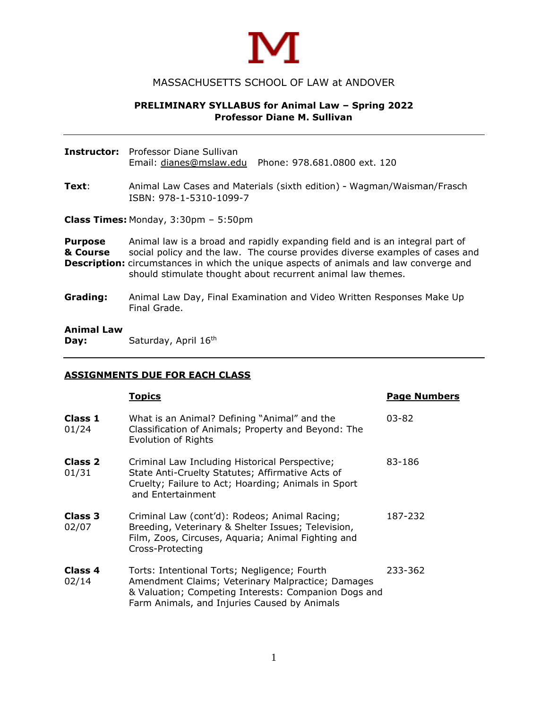

## MASSACHUSETTS SCHOOL OF LAW at ANDOVER

## **PRELIMINARY SYLLABUS for Animal Law – Spring 2022 Professor Diane M. Sullivan**

**Instructor:** Professor Diane Sullivan Email: [dianes@mslaw.edu](mailto:dianes@mslaw.edu) Phone: 978.681.0800 ext. 120

**Text**: Animal Law Cases and Materials (sixth edition) - Wagman/Waisman/Frasch ISBN: 978-1-5310-1099-7

**Class Times:** Monday, 3:30pm – 5:50pm

**Purpose** Animal law is a broad and rapidly expanding field and is an integral part of **& Course** social policy and the law. The course provides diverse examples of cases and **Description:** circumstances in which the unique aspects of animals and law converge and should stimulate thought about recurrent animal law themes.

**Grading:** Animal Law Day, Final Examination and Video Written Responses Make Up Final Grade.

#### **Animal Law Day:** Saturday, April 16<sup>th</sup>

#### **ASSIGNMENTS DUE FOR EACH CLASS**

|                  | Topics                                                                                                                                                                                                    | <b>Page Numbers</b> |
|------------------|-----------------------------------------------------------------------------------------------------------------------------------------------------------------------------------------------------------|---------------------|
| Class 1<br>01/24 | What is an Animal? Defining "Animal" and the<br>Classification of Animals; Property and Beyond: The<br>Evolution of Rights                                                                                | $03 - 82$           |
| Class 2<br>01/31 | Criminal Law Including Historical Perspective;<br>State Anti-Cruelty Statutes; Affirmative Acts of<br>Cruelty; Failure to Act; Hoarding; Animals in Sport<br>and Entertainment                            | 83-186              |
| Class 3<br>02/07 | Criminal Law (cont'd): Rodeos; Animal Racing;<br>Breeding, Veterinary & Shelter Issues; Television,<br>Film, Zoos, Circuses, Aquaria; Animal Fighting and<br>Cross-Protecting                             | 187-232             |
| Class 4<br>02/14 | Torts: Intentional Torts; Negligence; Fourth<br>Amendment Claims; Veterinary Malpractice; Damages<br>& Valuation; Competing Interests: Companion Dogs and<br>Farm Animals, and Injuries Caused by Animals | 233-362             |